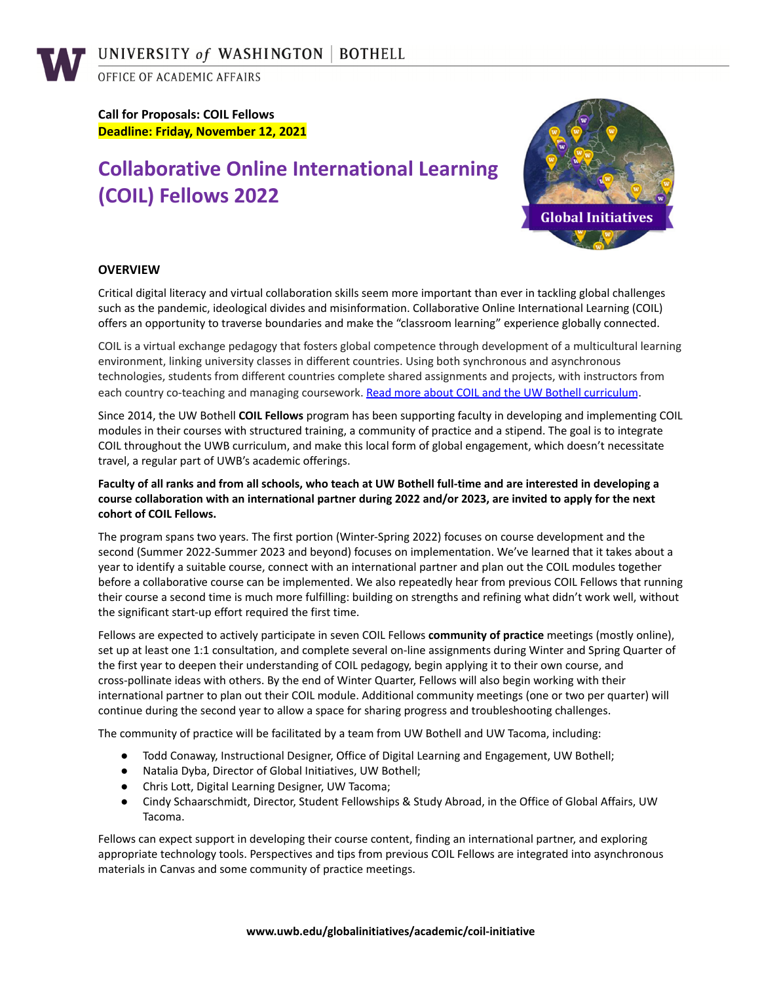OFFICE OF ACADEMIC AFFAIRS

**Call for Proposals: COIL Fellows Deadline: Friday, November 12, 2021**

# **Collaborative Online International Learning (COIL) Fellows 2022**



# **OVERVIEW**

Critical digital literacy and virtual collaboration skills seem more important than ever in tackling global challenges such as the pandemic, ideological divides and misinformation. Collaborative Online International Learning (COIL) offers an opportunity to traverse boundaries and make the "classroom learning" experience globally connected.

COIL is a virtual exchange pedagogy that fosters global competence through development of a multicultural learning environment, linking university classes in different countries. Using both synchronous and asynchronous technologies, students from different countries complete shared assignments and projects, with instructors from each country co-teaching and managing coursework. Read more about COIL and the UW Bothell [curriculum](https://www.uwb.edu/globalinitiatives/academic/coil-initiative).

Since 2014, the UW Bothell **COIL Fellows** program has been supporting faculty in developing and implementing COIL modules in their courses with structured training, a community of practice and a stipend. The goal is to integrate COIL throughout the UWB curriculum, and make this local form of global engagement, which doesn't necessitate travel, a regular part of UWB's academic offerings.

## Faculty of all ranks and from all schools, who teach at UW Bothell full-time and are interested in developing a course collaboration with an international partner during 2022 and/or 2023, are invited to apply for the next **cohort of COIL Fellows.**

The program spans two years. The first portion (Winter-Spring 2022) focuses on course development and the second (Summer 2022-Summer 2023 and beyond) focuses on implementation. We've learned that it takes about a year to identify a suitable course, connect with an international partner and plan out the COIL modules together before a collaborative course can be implemented. We also repeatedly hear from previous COIL Fellows that running their course a second time is much more fulfilling: building on strengths and refining what didn't work well, without the significant start-up effort required the first time.

Fellows are expected to actively participate in seven COIL Fellows **community of practice** meetings (mostly online), set up at least one 1:1 consultation, and complete several on-line assignments during Winter and Spring Quarter of the first year to deepen their understanding of COIL pedagogy, begin applying it to their own course, and cross-pollinate ideas with others. By the end of Winter Quarter, Fellows will also begin working with their international partner to plan out their COIL module. Additional community meetings (one or two per quarter) will continue during the second year to allow a space for sharing progress and troubleshooting challenges.

The community of practice will be facilitated by a team from UW Bothell and UW Tacoma, including:

- Todd Conaway, Instructional Designer, Office of Digital Learning and Engagement, UW Bothell;
- Natalia Dyba, Director of Global Initiatives, UW Bothell;
- Chris Lott, Digital Learning Designer, UW Tacoma;
- Cindy Schaarschmidt, Director, Student Fellowships & Study Abroad, in the Office of Global Affairs, UW Tacoma.

Fellows can expect support in developing their course content, finding an international partner, and exploring appropriate technology tools. Perspectives and tips from previous COIL Fellows are integrated into asynchronous materials in Canvas and some community of practice meetings.